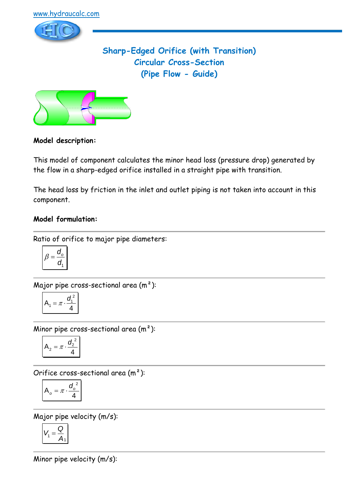

# **Sharp-Edged Orifice (with Transition) Circular Cross-Section (Pipe Flow - Guide)**



## **Model description:**

This model of component calculates the minor head loss (pressure drop) generated by the flow in a sharp-edged orifice installed in a straight pipe with transition.

The head loss by friction in the inlet and outlet piping is not taken into account in this component.

## **Model formulation:**

Ratio of orifice to major pipe diameters:

$$
\beta = \frac{d_o}{d_1}
$$

Major pipe cross-sectional area  $(m<sup>2</sup>)$ :

$$
A_1 = \pi \cdot \frac{d_1^2}{4}
$$

Minor pipe cross-sectional area  $(m<sup>2</sup>)$ :

$$
A_2 = \pi \cdot \frac{d_2^2}{4}
$$

Orifice cross-sectional area (m²):

$$
A_o = \pi \cdot \frac{d_o^2}{4}
$$

Major pipe velocity (m/s):

$$
V_1 = \frac{Q}{A_1}
$$

Minor pipe velocity (m/s):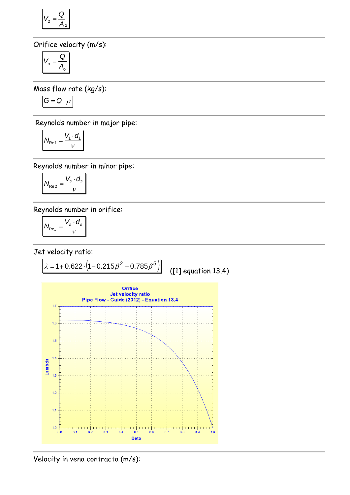$$
V_2 = \frac{Q}{A_2}
$$

Orifice velocity (m/s):

$$
V_o = \frac{Q}{A_o}
$$

Mass flow rate (kg/s):

$$
G=Q\cdot \rho
$$

Reynolds number in major pipe:

$$
N_{\text{Re1}} = \frac{V_1 \cdot d_1}{v}
$$

Reynolds number in minor pipe:

$$
N_{\text{Re}2} = \frac{V_2 \cdot d_2}{v}
$$

Reynolds number in orifice:

$$
N_{\text{Re}_o} = \frac{V_o \cdot d_o}{v}
$$

Jet velocity ratio:



Velocity in vena contracta (m/s):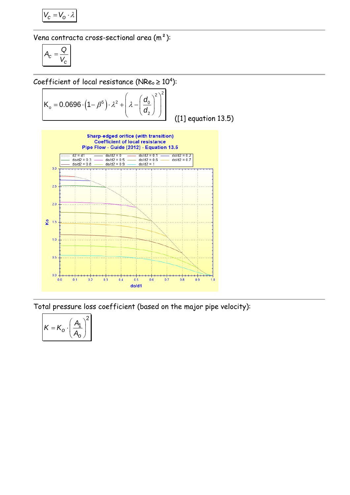$$
V_c = V_o \cdot \lambda
$$

Vena contracta cross-sectional area (m²):

$$
A_c = \frac{Q}{V_c}
$$

Coefficient of local resistance (NRe<sub>o</sub> 
$$
\ge
$$
 10<sup>4</sup>):  
\n
$$
K_o = 0.0696 \cdot (1 - \beta^5) \cdot \lambda^2 + \left(\lambda - \left(\frac{d_o}{d_2}\right)^2\right)^2
$$

([1] equation 13.5)



Total pressure loss coefficient (based on the major pipe velocity):

$$
K = K_o \cdot \left(\frac{A_1}{A_o}\right)^2
$$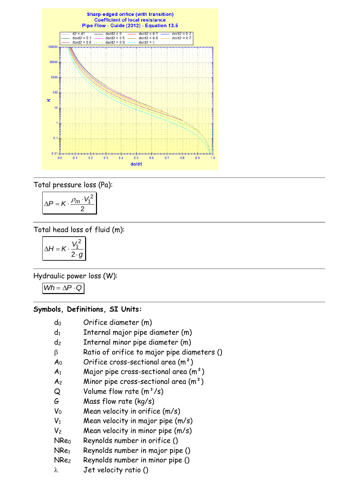

Total pressure loss (Pa):

$$
\Delta P = K \cdot \frac{\rho_m \cdot V_1^2}{2}
$$

Total head loss of fluid (m):

$$
\Delta H = K \cdot \frac{V_1^2}{2 \cdot g}
$$

Hydraulic power loss (W):

 $Wh = \Delta P \cdot Q$ 

#### **Symbols, Definitions, SI Units:**

- d<sup>0</sup> Orifice diameter (m)
- $d_1$  Internal major pipe diameter  $(m)$
- d<sup>2</sup> Internal minor pipe diameter (m)
- $\beta$  Ratio of orifice to major pipe diameters ()
- $A_0$  Orifice cross-sectional area  $(m^2)$
- $A_1$  Major pipe cross-sectional area  $(m^2)$
- $A_2$  Minor pipe cross-sectional area  $(m^2)$
- $Q$  Volume flow rate  $(m^3/s)$
- G Mass flow rate (kg/s)
- $V_0$  Mean velocity in orifice  $(m/s)$
- $V_1$  Mean velocity in major pipe  $(m/s)$
- $V_2$  Mean velocity in minor pipe  $(m/s)$
- NRe<sup>0</sup> Reynolds number in orifice ()
- NRe<sup>1</sup> Reynolds number in major pipe ()
- NRe<sup>2</sup> Reynolds number in minor pipe ()
- $\lambda$  Jet velocity ratio ()